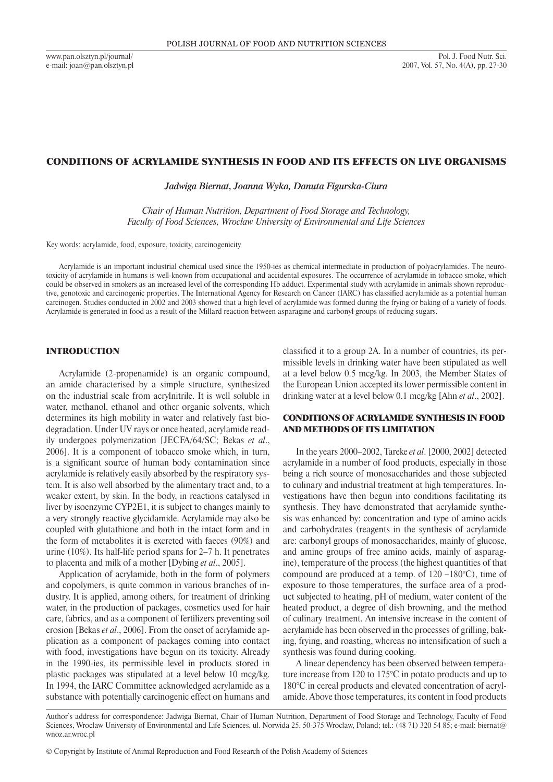www.pan.olsztyn.pl/journal/ e-mail: joan@pan.olsztyn.pl

### CONDITIONS OF ACRYLAMIDE SYNTHESIS IN FOOD AND ITS EFFECTS ON LIVE ORGANISMS

*Jadwiga Biernat, Joanna Wyka, Danuta Figurska-Ciura*

*Chair of Human Nutrition, Department of Food Storage and Technology, Faculty of Food Sciences, Wrocław University of Environmental and Life Sciences*

Key words: acrylamide, food, exposure, toxicity, carcinogenicity

Acrylamide is an important industrial chemical used since the 1950-ies as chemical intermediate in production of polyacrylamides. The neurotoxicity of acrylamide in humans is well-known from occupational and accidental exposures. The occurrence of acrylamide in tobacco smoke, which could be observed in smokers as an increased level of the corresponding Hb adduct. Experimental study with acrylamide in animals shown reproductive, genotoxic and carcinogenic properties. The International Agency for Research on Cancer (IARC) has classified acrylamide as a potential human carcinogen. Studies conducted in 2002 and 2003 showed that a high level of acrylamide was formed during the frying or baking of a variety of foods. Acrylamide is generated in food as a result of the Millard reaction between asparagine and carbonyl groups of reducing sugars.

# INTRODUCTION

Acrylamide (2-propenamide) is an organic compound, an amide characterised by a simple structure, synthesized on the industrial scale from acrylnitrile. It is well soluble in water, methanol, ethanol and other organic solvents, which determines its high mobility in water and relatively fast biodegradation. Under UV rays or once heated, acrylamide readily undergoes polymerization [JECFA/64/SC; Bekas *et al*., 2006]. It is a component of tobacco smoke which, in turn, is a significant source of human body contamination since acrylamide is relatively easily absorbed by the respiratory system. It is also well absorbed by the alimentary tract and, to a weaker extent, by skin. In the body, in reactions catalysed in liver by isoenzyme CYP2E1, it is subject to changes mainly to a very strongly reactive glycidamide. Acrylamide may also be coupled with glutathione and both in the intact form and in the form of metabolites it is excreted with faeces (90%) and urine (10%). Its half-life period spans for 2–7 h. It penetrates to placenta and milk of a mother [Dybing *et al*., 2005].

Application of acrylamide, both in the form of polymers and copolymers, is quite common in various branches of industry. It is applied, among others, for treatment of drinking water, in the production of packages, cosmetics used for hair care, fabrics, and as a component of fertilizers preventing soil erosion [Bekas *et al*., 2006]. From the onset of acrylamide application as a component of packages coming into contact with food, investigations have begun on its toxicity. Already in the 1990-ies, its permissible level in products stored in plastic packages was stipulated at a level below 10 mcg/kg. In 1994, the IARC Committee acknowledged acrylamide as a substance with potentially carcinogenic effect on humans and classified it to a group 2A. In a number of countries, its permissible levels in drinking water have been stipulated as well at a level below 0.5 mcg/kg. In 2003, the Member States of the European Union accepted its lower permissible content in drinking water at a level below 0.1 mcg/kg [Ahn *et al*., 2002].

# CONDITIONS OF ACRYLAMIDE SYNTHESIS IN FOOD AND METHODS OF ITS LIMITATION

In the years 2000–2002, Tareke *et al*. [2000, 2002] detected acrylamide in a number of food products, especially in those being a rich source of monosaccharides and those subjected to culinary and industrial treatment at high temperatures. Investigations have then begun into conditions facilitating its synthesis. They have demonstrated that acrylamide synthesis was enhanced by: concentration and type of amino acids and carbohydrates (reagents in the synthesis of acrylamide are: carbonyl groups of monosaccharides, mainly of glucose, and amine groups of free amino acids, mainly of asparagine), temperature of the process (the highest quantities of that compound are produced at a temp. of 120 –180°C), time of exposure to those temperatures, the surface area of a product subjected to heating, pH of medium, water content of the heated product, a degree of dish browning, and the method of culinary treatment. An intensive increase in the content of acrylamide has been observed in the processes of grilling, baking, frying, and roasting, whereas no intensification of such a synthesis was found during cooking.

A linear dependency has been observed between temperature increase from 120 to 175°C in potato products and up to 180°C in cereal products and elevated concentration of acrylamide. Above those temperatures, its content in food products

Author's address for correspondence: Jadwiga Biernat, Chair of Human Nutrition, Department of Food Storage and Technology, Faculty of Food Sciences, Wrocław University of Environmental and Life Sciences, ul. Norwida 25, 50-375 Wrocław, Poland; tel.: (48 71) 320 54 85; e-mail: biernat@ wnoz.ar.wroc.pl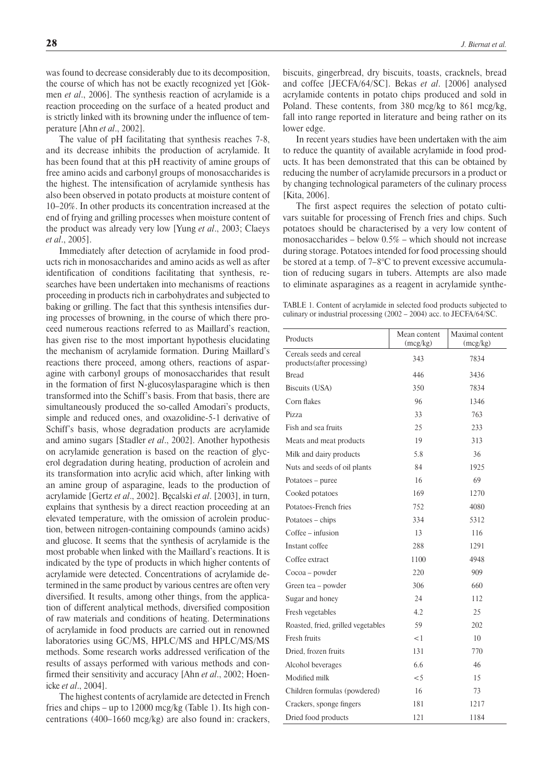was found to decrease considerably due to its decomposition, the course of which has not be exactly recognized yet [Gökmen *et al*., 2006]. The synthesis reaction of acrylamide is a reaction proceeding on the surface of a heated product and is strictly linked with its browning under the influence of temperature [Ahn *et al*., 2002].

The value of pH facilitating that synthesis reaches 7-8, and its decrease inhibits the production of acrylamide. It has been found that at this pH reactivity of amine groups of free amino acids and carbonyl groups of monosaccharides is the highest. The intensification of acrylamide synthesis has also been observed in potato products at moisture content of 10–20%. In other products its concentration increased at the end of frying and grilling processes when moisture content of the product was already very low [Yung *et al*., 2003; Claeys *et al*., 2005].

Immediately after detection of acrylamide in food products rich in monosaccharides and amino acids as well as after identification of conditions facilitating that synthesis, researches have been undertaken into mechanisms of reactions proceeding in products rich in carbohydrates and subjected to baking or grilling. The fact that this synthesis intensifies during processes of browning, in the course of which there proceed numerous reactions referred to as Maillard's reaction, has given rise to the most important hypothesis elucidating the mechanism of acrylamide formation. During Maillard's reactions there proceed, among others, reactions of asparagine with carbonyl groups of monosaccharides that result in the formation of first N-glucosylasparagine which is then transformed into the Schiff's basis. From that basis, there are simultaneously produced the so-called Amodari's products, simple and reduced ones, and oxazolidine-5-1 derivative of Schiff's basis, whose degradation products are acrylamide and amino sugars [Stadler *et al*., 2002]. Another hypothesis on acrylamide generation is based on the reaction of glycerol degradation during heating, production of acrolein and its transformation into acrylic acid which, after linking with an amine group of asparagine, leads to the production of acrylamide [Gertz *et al*., 2002]. Bęcalski *et al*. [2003], in turn, explains that synthesis by a direct reaction proceeding at an elevated temperature, with the omission of acrolein production, between nitrogen-containing compounds (amino acids) and glucose. It seems that the synthesis of acrylamide is the most probable when linked with the Maillard's reactions. It is indicated by the type of products in which higher contents of acrylamide were detected. Concentrations of acrylamide determined in the same product by various centres are often very diversified. It results, among other things, from the application of different analytical methods, diversified composition of raw materials and conditions of heating. Determinations of acrylamide in food products are carried out in renowned laboratories using GC/MS, HPLC/MS and HPLC/MS/MS methods. Some research works addressed verification of the results of assays performed with various methods and confirmed their sensitivity and accuracy [Ahn *et al*., 2002; Hoenicke *et al*., 2004].

The highest contents of acrylamide are detected in French fries and chips – up to 12000 mcg/kg (Table 1). Its high concentrations (400–1660 mcg/kg) are also found in: crackers, biscuits, gingerbread, dry biscuits, toasts, cracknels, bread and coffee [JECFA/64/SC]. Bekas *et al*. [2006] analysed acrylamide contents in potato chips produced and sold in Poland. These contents, from 380 mcg/kg to 861 mcg/kg, fall into range reported in literature and being rather on its lower edge.

In recent years studies have been undertaken with the aim to reduce the quantity of available acrylamide in food products. It has been demonstrated that this can be obtained by reducing the number of acrylamide precursors in a product or by changing technological parameters of the culinary process [Kita, 2006].

The first aspect requires the selection of potato cultivars suitable for processing of French fries and chips. Such potatoes should be characterised by a very low content of monosaccharides – below 0.5% – which should not increase during storage. Potatoes intended for food processing should be stored at a temp. of 7–8°C to prevent excessive accumulation of reducing sugars in tubers. Attempts are also made to eliminate asparagines as a reagent in acrylamide synthe-

Table 1. Content of acrylamide in selected food products subjected to culinary or industrial processing (2002 – 2004) acc. to JECFA/64/SC.

| Products                                                | Mean content<br>(mcg/kg) | Maximal content<br>(mcg/kg) |
|---------------------------------------------------------|--------------------------|-----------------------------|
| Cereals seeds and cereal<br>products (after processing) | 343                      | 7834                        |
| <b>Bread</b>                                            | 446                      | 3436                        |
| Biscuits (USA)                                          | 350                      | 7834                        |
| Corn flakes                                             | 96                       | 1346                        |
| Pizza                                                   | 33                       | 763                         |
| Fish and sea fruits                                     | 25                       | 233                         |
| Meats and meat products                                 | 19                       | 313                         |
| Milk and dairy products                                 | 5.8                      | 36                          |
| Nuts and seeds of oil plants                            | 84                       | 1925                        |
| Potatoes - puree                                        | 16                       | 69                          |
| Cooked potatoes                                         | 169                      | 1270                        |
| Potatoes-French fries                                   | 752                      | 4080                        |
| Potatoes – chips                                        | 334                      | 5312                        |
| Coffee – infusion                                       | 13                       | 116                         |
| Instant coffee                                          | 288                      | 1291                        |
| Coffee extract                                          | 1100                     | 4948                        |
| Cocoa – powder                                          | 220                      | 909                         |
| Green tea – powder                                      | 306                      | 660                         |
| Sugar and honey                                         | 24                       | 112                         |
| Fresh vegetables                                        | 4.2                      | 25                          |
| Roasted, fried, grilled vegetables                      | 59                       | 202                         |
| Fresh fruits                                            | $<$ 1                    | 10                          |
| Dried, frozen fruits                                    | 131                      | 770                         |
| Alcohol beverages                                       | 6.6                      | 46                          |
| Modified milk                                           | $\leq 5$                 | 15                          |
| Children formulas (powdered)                            | 16                       | 73                          |
| Crackers, sponge fingers                                | 181                      | 1217                        |
| Dried food products                                     | 121                      | 1184                        |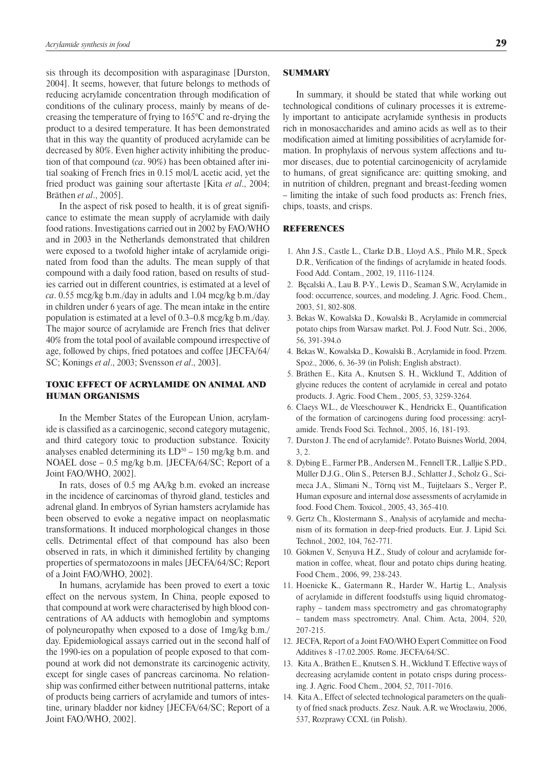sis through its decomposition with asparaginase [Durston, 2004]. It seems, however, that future belongs to methods of reducing acrylamide concentration through modification of conditions of the culinary process, mainly by means of decreasing the temperature of frying to 165°C and re-drying the product to a desired temperature. It has been demonstrated that in this way the quantity of produced acrylamide can be decreased by 80%. Even higher activity inhibiting the production of that compound (*ca*. 90%) has been obtained after initial soaking of French fries in 0.15 mol/L acetic acid, yet the fried product was gaining sour aftertaste [Kita *et al*., 2004; Bräthen *et al*., 2005].

In the aspect of risk posed to health, it is of great significance to estimate the mean supply of acrylamide with daily food rations. Investigations carried out in 2002 by FAO/WHO and in 2003 in the Netherlands demonstrated that children were exposed to a twofold higher intake of acrylamide originated from food than the adults. The mean supply of that compound with a daily food ration, based on results of studies carried out in different countries, is estimated at a level of *ca*. 0.55 mcg/kg b.m./day in adults and 1.04 mcg/kg b.m./day in children under 6 years of age. The mean intake in the entire population is estimated at a level of 0.3–0.8 mcg/kg b.m./day. The major source of acrylamide are French fries that deliver 40% from the total pool of available compound irrespective of age, followed by chips, fried potatoes and coffee [JECFA/64/ SC; Konings *et al*., 2003; Svensson *et al*., 2003].

# TOXIC EFFECT OF ACRYLAMIDE ON ANIMAL AND HUMAN ORGANISMS

In the Member States of the European Union, acrylamide is classified as a carcinogenic, second category mutagenic, and third category toxic to production substance. Toxicity analyses enabled determining its  $LD^{50} - 150$  mg/kg b.m. and NOAEL dose – 0.5 mg/kg b.m. [JECFA/64/SC; Report of a Joint FAO/WHO, 2002].

In rats, doses of 0.5 mg AA/kg b.m. evoked an increase in the incidence of carcinomas of thyroid gland, testicles and adrenal gland. In embryos of Syrian hamsters acrylamide has been observed to evoke a negative impact on neoplasmatic transformations. It induced morphological changes in those cells. Detrimental effect of that compound has also been observed in rats, in which it diminished fertility by changing properties of spermatozoons in males [JECFA/64/SC; Report of a Joint FAO/WHO, 2002].

In humans, acrylamide has been proved to exert a toxic effect on the nervous system, In China, people exposed to that compound at work were characterised by high blood concentrations of AA adducts with hemoglobin and symptoms of polyneuropathy when exposed to a dose of 1mg/kg b.m./ day. Epidemiological assays carried out in the second half of the 1990-ies on a population of people exposed to that compound at work did not demonstrate its carcinogenic activity, except for single cases of pancreas carcinoma. No relationship was confirmed either between nutritional patterns, intake of products being carriers of acrylamide and tumors of intestine, urinary bladder nor kidney [JECFA/64/SC; Report of a Joint FAO/WHO, 2002].

#### **SUMMARY**

In summary, it should be stated that while working out technological conditions of culinary processes it is extremely important to anticipate acrylamide synthesis in products rich in monosaccharides and amino acids as well as to their modification aimed at limiting possibilities of acrylamide formation. In prophylaxis of nervous system affections and tumor diseases, due to potential carcinogenicity of acrylamide to humans, of great significance are: quitting smoking, and in nutrition of children, pregnant and breast-feeding women – limiting the intake of such food products as: French fries, chips, toasts, and crisps.

## **REFERENCES**

- 1. Ahn J.S., Castle L., Clarke D.B., Lloyd A.S., Philo M.R., Speck D.R., Verification of the findings of acrylamide in heated foods. Food Add. Contam., 2002, 19, 1116-1124.
- 2. Bęcalski A., Lau B. P-Y., Lewis D., Seaman S.W., Acrylamide in food: occurrence, sources, and modeling. J. Agric. Food. Chem., 2003, 51, 802-808.
- 3. Bekas W., Kowalska D., Kowalski B., Acrylamide in commercial potato chips from Warsaw market. Pol. J. Food Nutr. Sci., 2006, 56, 391-394.ö
- 4. Bekas W., Kowalska D., Kowalski B., Acrylamide in food. Przem. Spoż., 2006, 6, 36-39 (in Polish; English abstract).
- 5. Bräthen E., Kita A., Knutsen S. H., Wicklund T., Addition of glycine reduces the content of acrylamide in cereal and potato products. J. Agric. Food Chem., 2005, 53, 3259-3264.
- 6. Claeys W.L., de Vleeschouwer K., Hendrickx E., Quantification of the formation of carcinogens during food processing: acrylamide. Trends Food Sci. Technol., 2005, 16, 181-193.
- 7. Durston J. The end of acrylamide?. Potato Buisnes World, 2004, 3, 2.
- 8. Dybing E., Farmer P.B., Andersen M., Fennell T.R., Lalljie S.P.D., Müller D.J.G., Olin S., Petersen B.J., Schlatter J., Scholz G., Scimeca J.A., Slimani N., Törnq vist M., Tuijtelaars S., Verger P., Human exposure and internal dose assessments of acrylamide in food. Food Chem. Toxicol., 2005, 43, 365-410.
- 9. Gertz Ch., Klostermann S., Analysis of acrylamide and mechanism of its formation in deep-fried products. Eur. J. Lipid Sci. Technol., 2002, 104, 762-771.
- 10. Gökmen V., Senyuva H.Z., Study of colour and acrylamide formation in coffee, wheat, flour and potato chips during heating. Food Chem., 2006, 99, 238-243.
- 11. Hoenicke K., Gatermann R., Harder W., Hartig L., Analysis of acrylamide in different foodstuffs using liquid chromatography – tandem mass spectrometry and gas chromatography – tandem mass spectrometry. Anal. Chim. Acta, 2004, 520, 207-215.
- 12. JECFA, Report of a Joint FAO/WHO Expert Committee on Food Additives 8 -17.02.2005. Rome. JECFA/64/SC.
- 13. Kita A., Bräthen E., Knutsen S. H., Wicklund T. Effective ways of decreasing acrylamide content in potato crisps during processing. J. Agric. Food Chem., 2004, 52, 7011-7016.
- 14. Kita A., Effect of selected technological parameters on the quality of fried snack products. Zesz. Nauk. A.R. we Wrocławiu, 2006, 537, Rozprawy CCXL (in Polish).